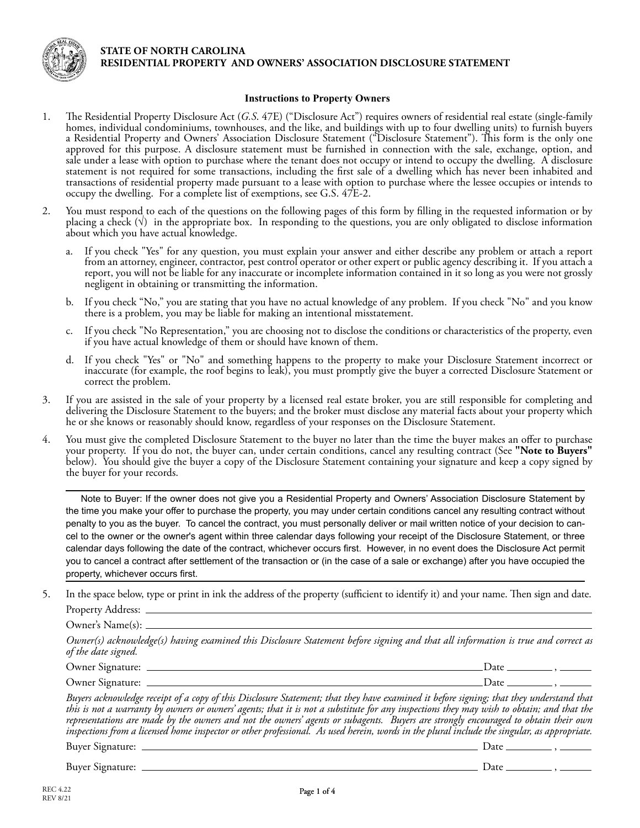

## **STATE OF NORTH CAROLINA RESIDENTIAL PROPERTY AND OWNERS' ASSOCIATION DISCLOSURE STATEMENT**

## **Instructions to Property Owners**

- 1. The Residential Property Disclosure Act (*G.S*. 47E) ("Disclosure Act") requires owners of residential real estate (single-family homes, individual condominiums, townhouses, and the like, and buildings with up to four dwelling units) to furnish buyers a Residential Property and Owners' Association Disclosure Statement ("Disclosure Statement"). This form is the only one approved for this purpose. A disclosure statement must be furnished in connection with the sale, exchange, option, and sale under a lease with option to purchase where the tenant does not occupy or intend to occupy the dwelling. A disclosure statement is not required for some transactions, including the first sale of a dwelling which has never been inhabited and transactions of residential property made pursuant to a lease with option to purchase where the lessee occupies or intends to occupy the dwelling. For a complete list of exemptions, see G.S. 47E-2.
- 2. You must respond to each of the questions on the following pages of this form by filling in the requested information or by placing a check  $(\vee)$  in the appropriate box. In responding to the questions, you are only obligated to disclose information about which you have actual knowledge.
	- a. If you check "Yes" for any question, you must explain your answer and either describe any problem or attach a report from an attorney, engineer, contractor, pest control operator or other expert or public agency describing it. If you attach a report, you will not be liable for any inaccurate or incomplete information contained in it so long as you were not grossly negligent in obtaining or transmitting the information.
	- b. If you check "No," you are stating that you have no actual knowledge of any problem. If you check "No" and you know there is a problem, you may be liable for making an intentional misstatement.
	- c. If you check "No Representation," you are choosing not to disclose the conditions or characteristics of the property, even if you have actual knowledge of them or should have known of them.
	- d. If you check "Yes" or "No" and something happens to the property to make your Disclosure Statement incorrect or inaccurate (for example, the roof begins to leak), you must promptly give the buyer a corrected Disclosure Statement or correct the problem.
- 3. If you are assisted in the sale of your property by a licensed real estate broker, you are still responsible for completing and delivering the Disclosure Statement to the buyers; and the broker must disclose any material facts about your property which he or she knows or reasonably should know, regardless of your responses on the Disclosure Statement.
- 4. You must give the completed Disclosure Statement to the buyer no later than the time the buyer makes an offer to purchase your property. If you do not, the buyer can, under certain conditions, cancel any resulting contract (See **"Note to Buyers"** below). You should give the buyer a copy of the Disclosure Statement containing your signature and keep a copy signed by the buyer for your records.

Note to Buyer: If the owner does not give you a Residential Property and Owners' Association Disclosure Statement by the time you make your offer to purchase the property, you may under certain conditions cancel any resulting contract without penalty to you as the buyer. To cancel the contract, you must personally deliver or mail written notice of your decision to cancel to the owner or the owner's agent within three calendar days following your receipt of the Disclosure Statement, or three calendar days following the date of the contract, whichever occurs first. However, in no event does the Disclosure Act permit you to cancel a contract after settlement of the transaction or (in the case of a sale or exchange) after you have occupied the property, whichever occurs first.

5. In the space below, type or print in ink the address of the property (sufficient to identify it) and your name. Then sign and date. Property Address: \_\_\_\_

Owner's Name(s):

*Owner(s) acknowledge(s) having examined this Disclosure Statement before signing and that all information is true and correct as of the date signed.*

| Jwner<br>$M$ gnature $\cdot$                    | Jate   |  |
|-------------------------------------------------|--------|--|
| Jwner<br>signature:<br>$\overline{\phantom{0}}$ | $'$ au |  |

*Buyers acknowledge receipt of a copy of this Disclosure Statement; that they have examined it before signing; that they understand that this is not a warranty by owners or owners' agents; that it is not a substitute for any inspections they may wish to obtain; and that the representations are made by the owners and not the owners' agents or subagents. Buyers are strongly encouraged to obtain their own inspections from a licensed home inspector or other professional. As used herein, words in the plural include the singular, as appropriate.*

Buyer Signature: Date ,

Buyer Signature: Date ,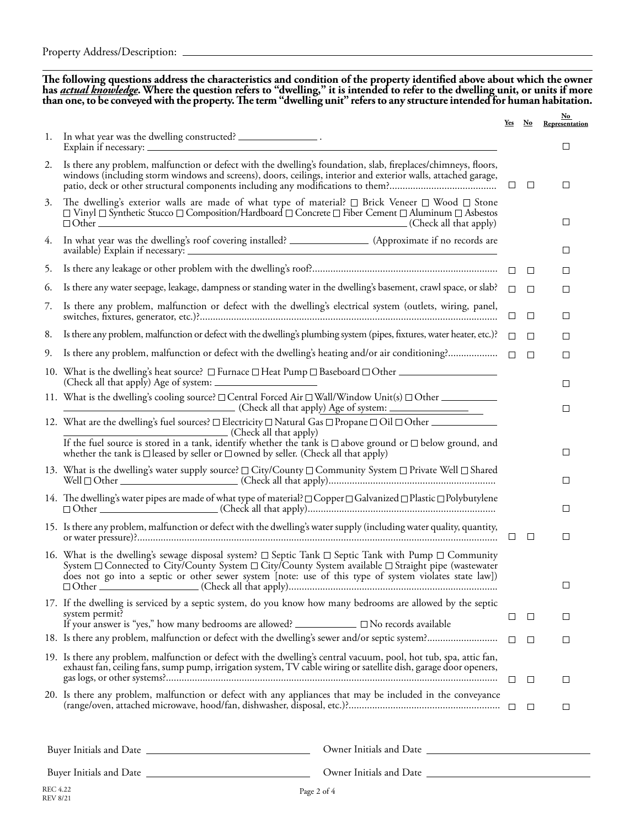**The following questions address the characteristics and condition of the property identified above about which the owner**  has <u>actual knowledge</u>. Where the question refers to "dwelling," it is intended to refer to the dwelling unit, or units if more<br>than one, to be conveyed with the property. The term "dwelling unit" refers to any structure i

|    |                                                                                                                                                                                                                                                                                                                                                     | Yes    | $\mathbf{N}\mathbf{o}$ | $No$<br>Representation |
|----|-----------------------------------------------------------------------------------------------------------------------------------------------------------------------------------------------------------------------------------------------------------------------------------------------------------------------------------------------------|--------|------------------------|------------------------|
| 1. | In what year was the dwelling constructed? __________________.                                                                                                                                                                                                                                                                                      |        |                        | □                      |
| 2. | Is there any problem, malfunction or defect with the dwelling's foundation, slab, fireplaces/chimneys, floors,<br>windows (including storm windows and screens), doors, ceilings, interior and exterior walls, attached garage,                                                                                                                     | $\Box$ | $\Box$                 | □                      |
| 3. | The dwelling's exterior walls are made of what type of material? $\Box$ Brick Veneer $\Box$ Wood $\Box$ Stone<br>$\Box$ Vinyl $\Box$ Synthetic Stucco $\Box$ Composition/Hardboard $\Box$ Concrete $\Box$ Fiber Cement $\Box$ Aluminum $\Box$ Asbestos                                                                                              |        |                        | □                      |
| 4. | In what year was the dwelling's roof covering installed? ________________________ (Approximate if no records are                                                                                                                                                                                                                                    |        |                        | □                      |
| 5. |                                                                                                                                                                                                                                                                                                                                                     |        |                        | □                      |
| 6. | Is there any water seepage, leakage, dampness or standing water in the dwelling's basement, crawl space, or slab? $\Box$                                                                                                                                                                                                                            |        | $\Box$                 | $\Box$                 |
| 7. | Is there any problem, malfunction or defect with the dwelling's electrical system (outlets, wiring, panel,                                                                                                                                                                                                                                          | ⊔      | $\Box$                 | □                      |
| 8. | Is there any problem, malfunction or defect with the dwelling's plumbing system (pipes, fixtures, water heater, etc.)? $\square$                                                                                                                                                                                                                    |        | $\Box$                 | □                      |
| 9. |                                                                                                                                                                                                                                                                                                                                                     |        | $\Box$                 | $\Box$                 |
|    | 10. What is the dwelling's heat source? □ Furnace □ Heat Pump □ Baseboard □ Other _________________                                                                                                                                                                                                                                                 |        |                        | □                      |
|    |                                                                                                                                                                                                                                                                                                                                                     |        |                        | □                      |
|    | 12. What are the dwelling's fuel sources? □ Electricity □ Natural Gas □ Propane □ Oil □ Other<br>(Check all that apply)<br>If the fuel source is stored in a tank, identify whether the tank is $\Box$ above ground or $\Box$ below ground, and                                                                                                     |        |                        |                        |
|    | whether the tank is $\Box$ leased by seller or $\Box$ owned by seller. (Check all that apply)                                                                                                                                                                                                                                                       |        |                        | □                      |
|    | 13. What is the dwelling's water supply source? □ City/County □ Community System □ Private Well □ Shared                                                                                                                                                                                                                                            |        |                        | $\Box$                 |
|    | 14. The dwelling's water pipes are made of what type of material? □ Copper □ Galvanized □ Plastic □ Polybutylene                                                                                                                                                                                                                                    |        |                        | $\Box$                 |
|    | 15. Is there any problem, malfunction or defect with the dwelling's water supply (including water quality, quantity,                                                                                                                                                                                                                                |        | □                      | □                      |
|    | 16. What is the dwelling's sewage disposal system? $\Box$ Septic Tank $\Box$ Septic Tank with Pump $\Box$ Community<br>System $\Box$ Connected to City/County System $\Box$ City/County System available $\Box$ Straight pipe (wastewater<br>does not go into a septic or other sewer system [note: use of this type of system violates state law]) |        |                        | Ц                      |
|    | 17. If the dwelling is serviced by a septic system, do you know how many bedrooms are allowed by the septic<br>system permit?<br>If your answer is "yes," how many bedrooms are allowed? ____________ I No records available                                                                                                                        | ப      | $\Box$                 | □                      |
|    |                                                                                                                                                                                                                                                                                                                                                     |        | $\Box$                 | ⊔                      |
|    | 19. Is there any problem, malfunction or defect with the dwelling's central vacuum, pool, hot tub, spa, attic fan,<br>exhaust fan, ceiling fans, sump pump, irrigation system, TV cable wiring or satellite dish, garage door openers,                                                                                                              |        | $\Box$                 | ⊔                      |
|    | 20. Is there any problem, malfunction or defect with any appliances that may be included in the conveyance                                                                                                                                                                                                                                          |        | $\Box$                 | $\Box$                 |

Buyer Initials and Date Owner Initials and Date

Buyer Initials and Date

Owner Initials and Date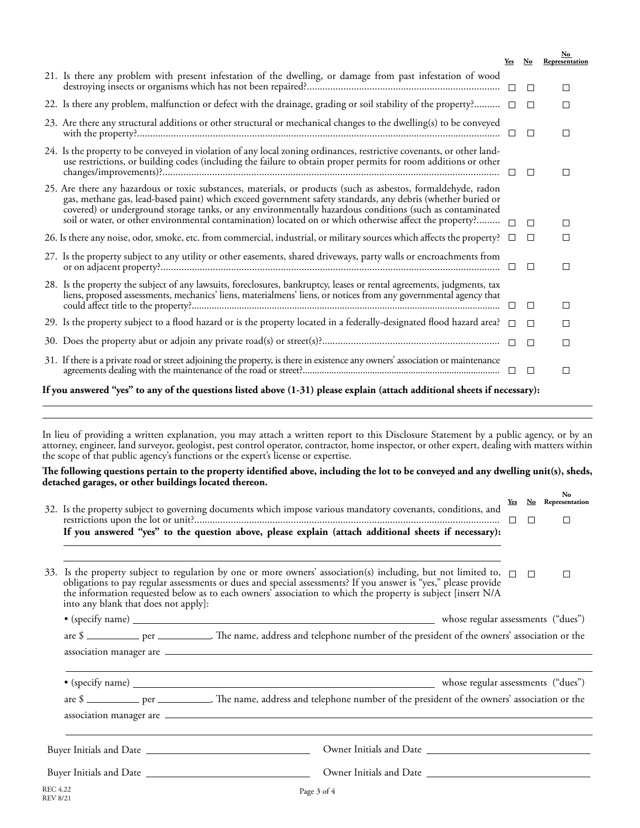|                                                                                                                                                                                                                                                                                                                                                                                                                                                      | Yes     | No     | $\mathbf{No}$<br>Representation |
|------------------------------------------------------------------------------------------------------------------------------------------------------------------------------------------------------------------------------------------------------------------------------------------------------------------------------------------------------------------------------------------------------------------------------------------------------|---------|--------|---------------------------------|
| 21. Is there any problem with present infestation of the dwelling, or damage from past infestation of wood                                                                                                                                                                                                                                                                                                                                           |         | $\Box$ | П                               |
| 22. Is there any problem, malfunction or defect with the drainage, grading or soil stability of the property? $\square$                                                                                                                                                                                                                                                                                                                              |         | $\Box$ | П                               |
| 23. Are there any structural additions or other structural or mechanical changes to the dwelling(s) to be conveyed                                                                                                                                                                                                                                                                                                                                   |         | $\Box$ | □                               |
| 24. Is the property to be conveyed in violation of any local zoning ordinances, restrictive covenants, or other land-<br>use restrictions, or building codes (including the failure to obtain proper permits for room additions or other                                                                                                                                                                                                             | $\perp$ | $\Box$ | П                               |
| 25. Are there any hazardous or toxic substances, materials, or products (such as asbestos, formaldehyde, radon<br>gas, methane gas, lead-based paint) which exceed government safety standards, any debris (whether buried or<br>covered) or underground storage tanks, or any environmentally hazardous conditions (such as contaminated<br>soil or water, or other environmental contamination) located on or which otherwise affect the property? |         | П      | $\mathsf{L}$                    |
| 26. Is there any noise, odor, smoke, etc. from commercial, industrial, or military sources which affects the property?                                                                                                                                                                                                                                                                                                                               |         | □      | $\Box$                          |
| 27. Is the property subject to any utility or other easements, shared driveways, party walls or encroachments from                                                                                                                                                                                                                                                                                                                                   |         | П      | П                               |
| 28. Is the property the subject of any lawsuits, foreclosures, bankruptcy, leases or rental agreements, judgments, tax<br>liens, proposed assessments, mechanics' liens, materialmens' liens, or notices from any governmental agency that                                                                                                                                                                                                           |         | $\Box$ | $\Box$                          |
| 29. Is the property subject to a flood hazard or is the property located in a federally-designated flood hazard area? $\Box$                                                                                                                                                                                                                                                                                                                         |         | $\Box$ | $\Box$                          |
|                                                                                                                                                                                                                                                                                                                                                                                                                                                      |         | $\Box$ | □                               |
| 31. If there is a private road or street adjoining the property, is there in existence any owners' association or maintenance                                                                                                                                                                                                                                                                                                                        |         | П      | П                               |
| If you answered "yes" to any of the questions listed above (1-31) please explain (attach additional sheets if necessary):                                                                                                                                                                                                                                                                                                                            |         |        |                                 |

In lieu of providing a written explanation, you may attach a written report to this Disclosure Statement by a public agency, or by an attorney, engineer, land surveyor, geologist, pest control operator, contractor, home inspector, or other expert, dealing with matters within the scope of that public agency's functions or the expert's license or expertise.

## **The following questions pertain to the property identified above, including the lot to be conveyed and any dwelling unit(s), sheds, detached garages, or other buildings located thereon.**

|                                    | 32. Is the property subject to governing documents which impose various mandatory covenants, conditions, and                                                                                                                                                                                                                                                                               | Yes    | $\mathbf{N}\mathbf{o}$ | No<br>Representation |  |  |  |
|------------------------------------|--------------------------------------------------------------------------------------------------------------------------------------------------------------------------------------------------------------------------------------------------------------------------------------------------------------------------------------------------------------------------------------------|--------|------------------------|----------------------|--|--|--|
|                                    | If you answered "yes" to the question above, please explain (attach additional sheets if necessary):                                                                                                                                                                                                                                                                                       | $\Box$ | $\Box$                 | $\Box$               |  |  |  |
| 33.                                | Is the property subject to regulation by one or more owners' association(s) including, but not limited to, $\Box$<br>obligations to pay regular assessments or dues and special assessments? If you answer is "yes," please provide<br>the information requested below as to each owners' association to which the property is subject [insert N/A<br>into any blank that does not apply]: |        | $\Box$                 | П                    |  |  |  |
|                                    |                                                                                                                                                                                                                                                                                                                                                                                            |        |                        |                      |  |  |  |
|                                    | are \$ _________ per _________. The name, address and telephone number of the president of the owners' association or the                                                                                                                                                                                                                                                                  |        |                        |                      |  |  |  |
|                                    |                                                                                                                                                                                                                                                                                                                                                                                            |        |                        |                      |  |  |  |
|                                    |                                                                                                                                                                                                                                                                                                                                                                                            |        |                        |                      |  |  |  |
|                                    | are \$ _________ per _________. The name, address and telephone number of the president of the owners' association or the                                                                                                                                                                                                                                                                  |        |                        |                      |  |  |  |
|                                    |                                                                                                                                                                                                                                                                                                                                                                                            |        |                        |                      |  |  |  |
|                                    | Owner Initials and Date                                                                                                                                                                                                                                                                                                                                                                    |        |                        |                      |  |  |  |
|                                    |                                                                                                                                                                                                                                                                                                                                                                                            |        |                        |                      |  |  |  |
| <b>REC 4.22</b><br><b>REV 8/21</b> | Page 3 of 4                                                                                                                                                                                                                                                                                                                                                                                |        |                        |                      |  |  |  |